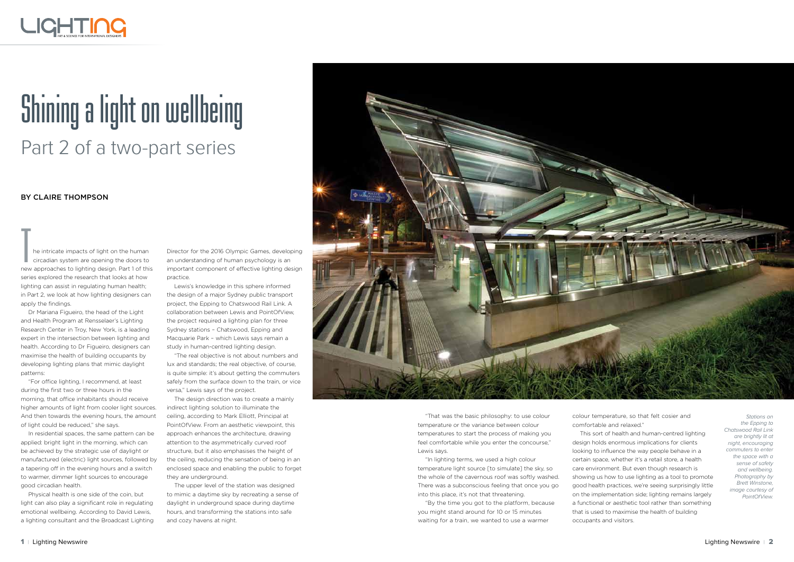## LIGHTING

## **unning a light on wellbeing**<br>Part 2 of a two-part series

he intricate impacts of light on the human<br>circadian system are opening the doors to<br>new approaches to lighting design. Part 1 of this<br>series explored the research that looks at how<br>lighting can assist in regulating human circadian system are opening the doors to new approaches to lighting design. Part 1 of this series explored the research that looks at how lighting can assist in regulating human health; apply the findings.

Dr Mariana Figueiro, the head of the Light and Health Program at Rensselaer's Lighting Research Center in Troy, New York, is a leading expert in the intersection between lighting and health. According to Dr Figueiro, designers can maximise the health of building occupants by developing lighting plans that mimic daylight patterns:

"For office lighting, I recommend, at least during the first two or three hours in the morning, that office inhabitants should receive higher amounts of light from cooler light sources. And then towards the evening hours, the amount of light could be reduced," she says.

In residential spaces, the same pattern can be applied: bright light in the morning, which can be achieved by the strategic use of daylight or manufactured (electric) light sources, followed by a tapering off in the evening hours and a switch to warmer, dimmer light sources to encourage good circadian health.

Physical health is one side of the coin, but light can also play a significant role in regulating emotional wellbeing. According to David Lewis, a lighting consultant and the Broadcast Lighting

"That was the basic philosophy: to use colour temperature or the variance between colour temperatures to start the process of making you feel comfortable while you enter the concourse," Lewis says.

"In lighting terms, we used a high colour temperature light source [to simulate] the sky, so the whole of the cavernous roof was softly washed. There was a subconscious feeling that once you go into this place, it's not that threatening.

"By the time you got to the platform, because you might stand around for 10 or 15 minutes waiting for a train, we wanted to use a warmer

colour temperature, so that felt cosier and comfortable and relaxed."

This sort of health and human-centred lighting design holds enormous implications for clients looking to influence the way people behave in a certain space, whether it's a retail store, a health care environment. But even though research is showing us how to use lighting as a tool to promote good health practices, we're seeing surprisingly little on the implementation side; lighting remains largely a functional or aesthetic tool rather than something that is used to maximise the health of building occupants and visitors.

## By Claire Thompson



Director for the 2016 Olympic Games, developing an understanding of human psychology is an important component of effective lighting design practice.

Lewis's knowledge in this sphere informed the design of a major Sydney public transport project, the Epping to Chatswood Rail Link. A collaboration between Lewis and PointOfView, the project required a lighting plan for three Sydney stations – Chatswood, Epping and Macquarie Park – which Lewis says remain a study in human-centred lighting design.

"The real objective is not about numbers and lux and standards; the real objective, of course, is quite simple: it's about getting the commuters safely from the surface down to the train, or vice versa," Lewis says of the project.

The design direction was to create a mainly indirect lighting solution to illuminate the ceiling, according to Mark Elliott, Principal at PointOfView. From an aesthetic viewpoint, this approach enhances the architecture, drawing attention to the asymmetrically curved roof structure, but it also emphasises the height of the ceiling, reducing the sensation of being in an enclosed space and enabling the public to forget they are underground.

The upper level of the station was designed to mimic a daytime sky by recreating a sense of daylight in underground space during daytime hours, and transforming the stations into safe and cozy havens at night.

Stations on the Epping to Chatswood Rail Link are brightly lit at night, encouraging commuters to enter the space with a sense of safety and wellbeing. Photography by Brett Winstone, image courtesy of PointOfView.